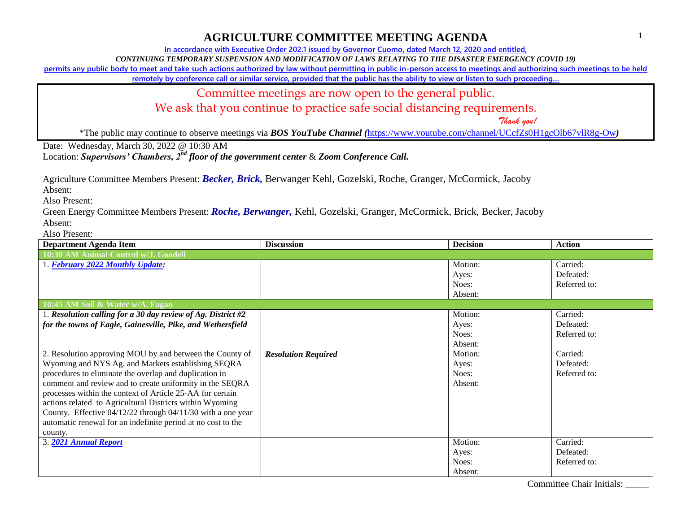**In accordance with Executive Order 202.1 issued by Governor Cuomo, dated March 12, 2020 and entitled,**

*CONTINUING TEMPORARY SUSPENSION AND MODIFICATION OF LAWS RELATING TO THE DISASTER EMERGENCY (COVID 19)*

**permits any public body to meet and take such actions authorized by law without permitting in public in-person access to meetings and authorizing such meetings to be held** 

**remotely by conference call or similar service, provided that the public has the ability to view or listen to such proceeding…**

Committee meetings are now open to the general public.

We ask that you continue to practice safe social distancing requirements.

 *Thank you!*

\*The public may continue to observe meetings via *BOS YouTube Channel (*<https://www.youtube.com/channel/UCcfZs0H1gcOlb67vlR8g-Ow>*)*

Date: Wednesday, March 30, 2022 @ 10:30 AM

Location: *Supervisors' Chambers, 2nd floor of the government center* & *Zoom Conference Call.*

Agriculture Committee Members Present: *Becker, Brick,* Berwanger Kehl, Gozelski, Roche, Granger, McCormick, Jacoby

Absent:

Also Present:

Green Energy Committee Members Present: *Roche, Berwanger,* Kehl, Gozelski, Granger, McCormick, Brick, Becker, Jacoby Absent:

| <b>Department Agenda Item</b>                                  | <b>Discussion</b>          | <b>Decision</b> | <b>Action</b> |
|----------------------------------------------------------------|----------------------------|-----------------|---------------|
| 10:30 AM Animal Control w/J. Goodell                           |                            |                 |               |
| 1. February 2022 Monthly Update:                               |                            | Motion:         | Carried:      |
|                                                                |                            | Ayes:           | Defeated:     |
|                                                                |                            | Noes:           | Referred to:  |
|                                                                |                            | Absent:         |               |
| 10:45 AM Soil & Water w/A. Fagan                               |                            |                 |               |
| 1. Resolution calling for a 30 day review of Ag. District $#2$ |                            | Motion:         | Carried:      |
| for the towns of Eagle, Gainesville, Pike, and Wethersfield    |                            | Ayes:           | Defeated:     |
|                                                                |                            | Noes:           | Referred to:  |
|                                                                |                            | Absent:         |               |
| 2. Resolution approving MOU by and between the County of       | <b>Resolution Required</b> | Motion:         | Carried:      |
| Wyoming and NYS Ag. and Markets establishing SEQRA             |                            | Ayes:           | Defeated:     |
| procedures to eliminate the overlap and duplication in         |                            | Noes:           | Referred to:  |
| comment and review and to create uniformity in the SEQRA       |                            | Absent:         |               |
| processes within the context of Article 25-AA for certain      |                            |                 |               |
| actions related to Agricultural Districts within Wyoming       |                            |                 |               |
| County. Effective 04/12/22 through 04/11/30 with a one year    |                            |                 |               |
| automatic renewal for an indefinite period at no cost to the   |                            |                 |               |
| county.                                                        |                            |                 |               |
| 3. 2021 Annual Report                                          |                            | Motion:         | Carried:      |
|                                                                |                            | Ayes:           | Defeated:     |
|                                                                |                            | Noes:           | Referred to:  |
|                                                                |                            | Absent:         |               |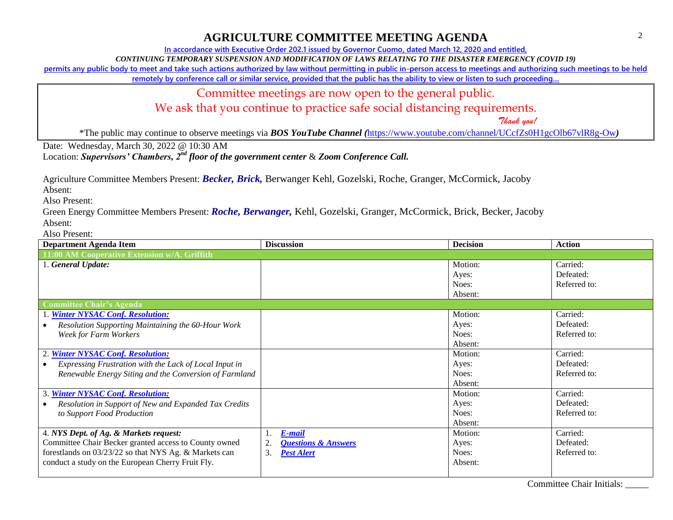**In accordance with Executive Order 202.1 issued by Governor Cuomo, dated March 12, 2020 and entitled,**

*CONTINUING TEMPORARY SUSPENSION AND MODIFICATION OF LAWS RELATING TO THE DISASTER EMERGENCY (COVID 19)*

**permits any public body to meet and take such actions authorized by law without permitting in public in-person access to meetings and authorizing such meetings to be held** 

**remotely by conference call or similar service, provided that the public has the ability to view or listen to such proceeding…**

Committee meetings are now open to the general public.

We ask that you continue to practice safe social distancing requirements.

 *Thank you!*

\*The public may continue to observe meetings via *BOS YouTube Channel (*<https://www.youtube.com/channel/UCcfZs0H1gcOlb67vlR8g-Ow>*)*

Date: Wednesday, March 30, 2022 @ 10:30 AM

Location: *Supervisors' Chambers, 2nd floor of the government center* & *Zoom Conference Call.*

Agriculture Committee Members Present: *Becker, Brick,* Berwanger Kehl, Gozelski, Roche, Granger, McCormick, Jacoby

Absent:

Also Present:

Green Energy Committee Members Present: *Roche, Berwanger,* Kehl, Gozelski, Granger, McCormick, Brick, Becker, Jacoby Absent:

| <b>Department Agenda Item</b>                          | <b>Discussion</b>                    | <b>Decision</b> | <b>Action</b> |
|--------------------------------------------------------|--------------------------------------|-----------------|---------------|
| 11:00 AM Cooperative Extension w/A. Griffith           |                                      |                 |               |
| 1. General Update:                                     |                                      | Motion:         | Carried:      |
|                                                        |                                      | Ayes:           | Defeated:     |
|                                                        |                                      | Noes:           | Referred to:  |
|                                                        |                                      | Absent:         |               |
| <b>Committee Chair's Agenda</b>                        |                                      |                 |               |
| 1. Winter NYSAC Conf. Resolution:                      |                                      | Motion:         | Carried:      |
| Resolution Supporting Maintaining the 60-Hour Work     |                                      | Ayes:           | Defeated:     |
| Week for Farm Workers                                  |                                      | Noes:           | Referred to:  |
|                                                        |                                      | Absent:         |               |
| 2. Winter NYSAC Conf. Resolution:                      |                                      | Motion:         | Carried:      |
| Expressing Frustration with the Lack of Local Input in |                                      | Ayes:           | Defeated:     |
| Renewable Energy Siting and the Conversion of Farmland |                                      | Noes:           | Referred to:  |
|                                                        |                                      | Absent:         |               |
| 3. Winter NYSAC Conf. Resolution:                      |                                      | Motion:         | Carried:      |
| Resolution in Support of New and Expanded Tax Credits  |                                      | Ayes:           | Defeated:     |
| to Support Food Production                             |                                      | Noes:           | Referred to:  |
|                                                        |                                      | Absent:         |               |
| 4. NYS Dept. of Ag. & Markets request:                 | <b>E-mail</b><br>1.                  | Motion:         | Carried:      |
| Committee Chair Becker granted access to County owned  | 2.<br><b>Questions &amp; Answers</b> | Ayes:           | Defeated:     |
| forestlands on 03/23/22 so that NYS Ag. & Markets can  | 3.<br><b>Pest Alert</b>              | Noes:           | Referred to:  |
| conduct a study on the European Cherry Fruit Fly.      |                                      | Absent:         |               |
|                                                        |                                      |                 |               |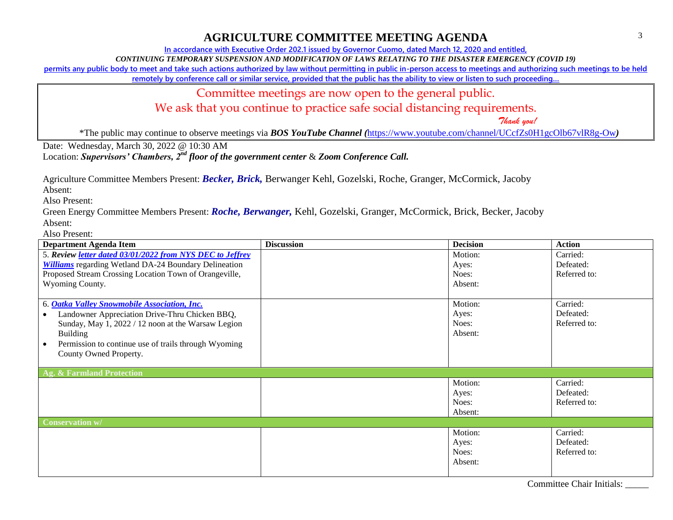**In accordance with Executive Order 202.1 issued by Governor Cuomo, dated March 12, 2020 and entitled,**

*CONTINUING TEMPORARY SUSPENSION AND MODIFICATION OF LAWS RELATING TO THE DISASTER EMERGENCY (COVID 19)*

**permits any public body to meet and take such actions authorized by law without permitting in public in-person access to meetings and authorizing such meetings to be held** 

**remotely by conference call or similar service, provided that the public has the ability to view or listen to such proceeding…**

Committee meetings are now open to the general public.

We ask that you continue to practice safe social distancing requirements.

 *Thank you!*

\*The public may continue to observe meetings via *BOS YouTube Channel (*<https://www.youtube.com/channel/UCcfZs0H1gcOlb67vlR8g-Ow>*)*

Date: Wednesday, March 30, 2022 @ 10:30 AM

Location: *Supervisors' Chambers, 2nd floor of the government center* & *Zoom Conference Call.*

Agriculture Committee Members Present: *Becker, Brick,* Berwanger Kehl, Gozelski, Roche, Granger, McCormick, Jacoby

Absent:

Also Present:

Green Energy Committee Members Present: *Roche, Berwanger,* Kehl, Gozelski, Granger, McCormick, Brick, Becker, Jacoby Absent:

| <b>Department Agenda Item</b>                                                                                                                                                                                                                             | <b>Discussion</b> | <b>Decision</b>                      | <b>Action</b>                         |
|-----------------------------------------------------------------------------------------------------------------------------------------------------------------------------------------------------------------------------------------------------------|-------------------|--------------------------------------|---------------------------------------|
| 5. Review <i>letter dated 03/01/2022 from NYS DEC to Jeffrey</i>                                                                                                                                                                                          |                   | Motion:                              | Carried:                              |
| <b>Williams</b> regarding Wetland DA-24 Boundary Delineation                                                                                                                                                                                              |                   | Ayes:                                | Defeated:                             |
| Proposed Stream Crossing Location Town of Orangeville,                                                                                                                                                                                                    |                   | Noes:                                | Referred to:                          |
| Wyoming County.                                                                                                                                                                                                                                           |                   | Absent:                              |                                       |
| 6. Oatka Valley Snowmobile Association, Inc.<br>Landowner Appreciation Drive-Thru Chicken BBQ,<br>Sunday, May 1, 2022 / 12 noon at the Warsaw Legion<br><b>Building</b><br>Permission to continue use of trails through Wyoming<br>County Owned Property. |                   | Motion:<br>Ayes:<br>Noes:<br>Absent: | Carried:<br>Defeated:<br>Referred to: |
| Ag. & Farmland Protection                                                                                                                                                                                                                                 |                   |                                      |                                       |
|                                                                                                                                                                                                                                                           |                   | Motion:<br>Ayes:<br>Noes:<br>Absent: | Carried:<br>Defeated:<br>Referred to: |
| Conservation w/                                                                                                                                                                                                                                           |                   |                                      |                                       |
|                                                                                                                                                                                                                                                           |                   | Motion:<br>Ayes:<br>Noes:<br>Absent: | Carried:<br>Defeated:<br>Referred to: |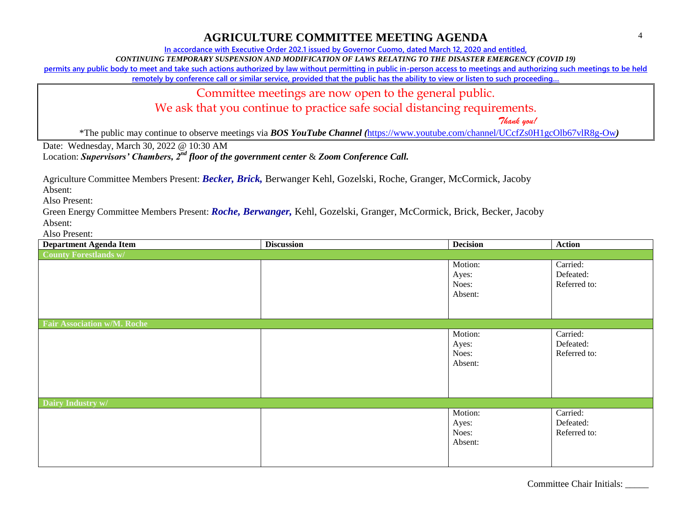**In accordance with Executive Order 202.1 issued by Governor Cuomo, dated March 12, 2020 and entitled,**

*CONTINUING TEMPORARY SUSPENSION AND MODIFICATION OF LAWS RELATING TO THE DISASTER EMERGENCY (COVID 19)*

**permits any public body to meet and take such actions authorized by law without permitting in public in-person access to meetings and authorizing such meetings to be held** 

**remotely by conference call or similar service, provided that the public has the ability to view or listen to such proceeding…**

Committee meetings are now open to the general public.

We ask that you continue to practice safe social distancing requirements.

 *Thank you!*

\*The public may continue to observe meetings via *BOS YouTube Channel (*<https://www.youtube.com/channel/UCcfZs0H1gcOlb67vlR8g-Ow>*)*

Date: Wednesday, March 30, 2022 @ 10:30 AM

Location: *Supervisors' Chambers, 2nd floor of the government center* & *Zoom Conference Call.*

Agriculture Committee Members Present: *Becker, Brick,* Berwanger Kehl, Gozelski, Roche, Granger, McCormick, Jacoby

Absent:

Also Present:

Green Energy Committee Members Present: *Roche, Berwanger,* Kehl, Gozelski, Granger, McCormick, Brick, Becker, Jacoby Absent:

| <b>Department Agenda Item</b>      | <b>Discussion</b> | <b>Decision</b>                      | <b>Action</b>                         |
|------------------------------------|-------------------|--------------------------------------|---------------------------------------|
| <b>County Forestlands w/</b>       |                   |                                      |                                       |
|                                    |                   | Motion:<br>Ayes:<br>Noes:<br>Absent: | Carried:<br>Defeated:<br>Referred to: |
| <b>Fair Association w/M. Roche</b> |                   |                                      |                                       |
|                                    |                   | Motion:<br>Ayes:<br>Noes:<br>Absent: | Carried:<br>Defeated:<br>Referred to: |
| Dairy Industry w/                  |                   |                                      |                                       |
|                                    |                   | Motion:<br>Ayes:<br>Noes:<br>Absent: | Carried:<br>Defeated:<br>Referred to: |